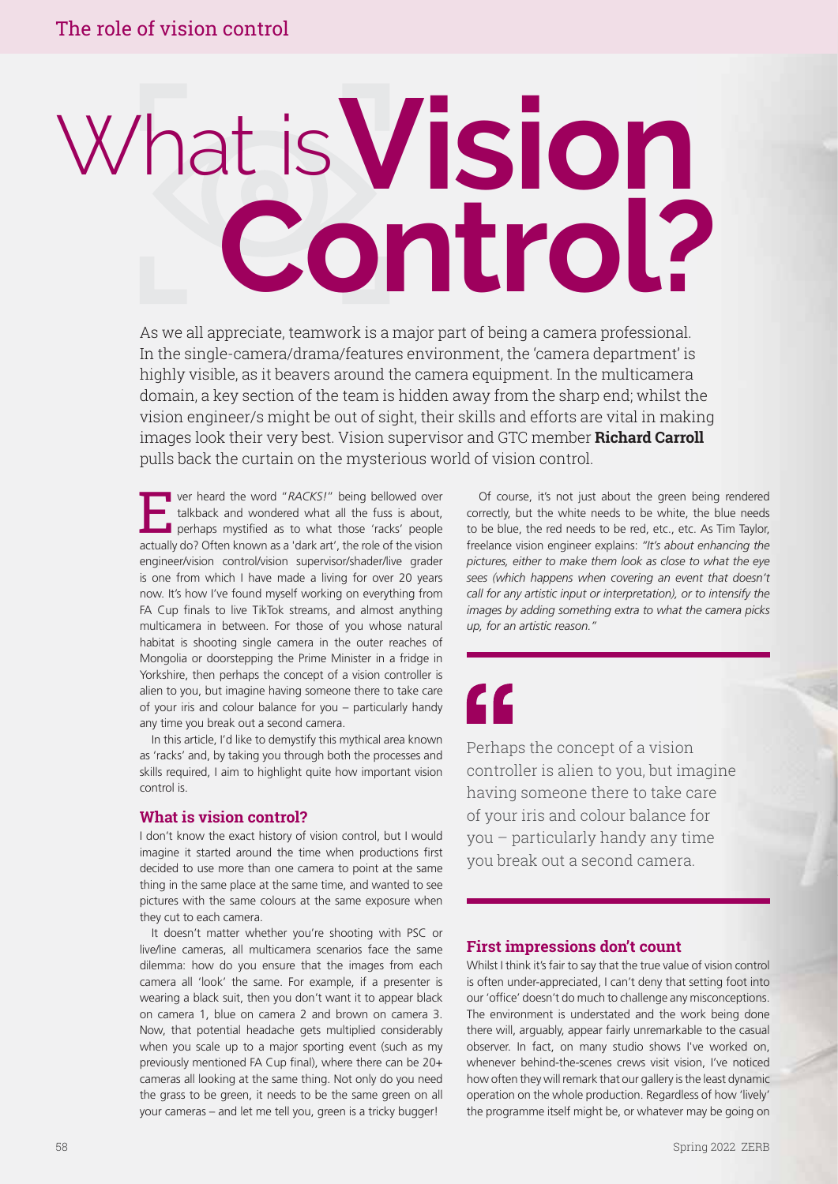# **Vision Control?** What is'

As we all appreciate, teamwork is a major part of being a camera professional. In the single-camera/drama/features environment, the 'camera department' is highly visible, as it beavers around the camera equipment. In the multicamera domain, a key section of the team is hidden away from the sharp end; whilst the vision engineer/s might be out of sight, their skills and efforts are vital in making images look their very best. Vision supervisor and GTC member **Richard Carroll** pulls back the curtain on the mysterious world of vision control.

Ever heard the word "*RACKS!*" being bellowed over talkback and wondered what all the fuss is about, perhaps mystified as to what those 'racks' people actually do? Often known as a 'dark art', the role of the vision engineer/vision control/vision supervisor/shader/live grader is one from which I have made a living for over 20 years now. It's how I've found myself working on everything from FA Cup finals to live TikTok streams, and almost anything multicamera in between. For those of you whose natural habitat is shooting single camera in the outer reaches of Mongolia or doorstepping the Prime Minister in a fridge in Yorkshire, then perhaps the concept of a vision controller is alien to you, but imagine having someone there to take care of your iris and colour balance for you – particularly handy any time you break out a second camera.

In this article, I'd like to demystify this mythical area known as 'racks' and, by taking you through both the processes and skills required, I aim to highlight quite how important vision control is.

#### **What is vision control?**

I don't know the exact history of vision control, but I would imagine it started around the time when productions first decided to use more than one camera to point at the same thing in the same place at the same time, and wanted to see pictures with the same colours at the same exposure when they cut to each camera.

It doesn't matter whether you're shooting with PSC or live/line cameras, all multicamera scenarios face the same dilemma: how do you ensure that the images from each camera all 'look' the same. For example, if a presenter is wearing a black suit, then you don't want it to appear black on camera 1, blue on camera 2 and brown on camera 3. Now, that potential headache gets multiplied considerably when you scale up to a major sporting event (such as my previously mentioned FA Cup final), where there can be 20+ cameras all looking at the same thing. Not only do you need the grass to be green, it needs to be the same green on all your cameras – and let me tell you, green is a tricky bugger!

Of course, it's not just about the green being rendered correctly, but the white needs to be white, the blue needs to be blue, the red needs to be red, etc., etc. As Tim Taylor, freelance vision engineer explains: *"It's about enhancing the pictures, either to make them look as close to what the eye sees (which happens when covering an event that doesn't call for any artistic input or interpretation), or to intensify the images by adding something extra to what the camera picks up, for an artistic reason."*

### <u>CC</u>

Perhaps the concept of a vision controller is alien to you, but imagine having someone there to take care of your iris and colour balance for you – particularly handy any time you break out a second camera.

#### **First impressions don't count**

Whilst I think it's fair to say that the true value of vision control is often under-appreciated, I can't deny that setting foot into our 'office' doesn't do much to challenge any misconceptions. The environment is understated and the work being done there will, arguably, appear fairly unremarkable to the casual observer. In fact, on many studio shows I've worked on, whenever behind-the-scenes crews visit vision, I've noticed how often they will remark that our gallery is the least dynamic operation on the whole production. Regardless of how 'lively' the programme itself might be, or whatever may be going on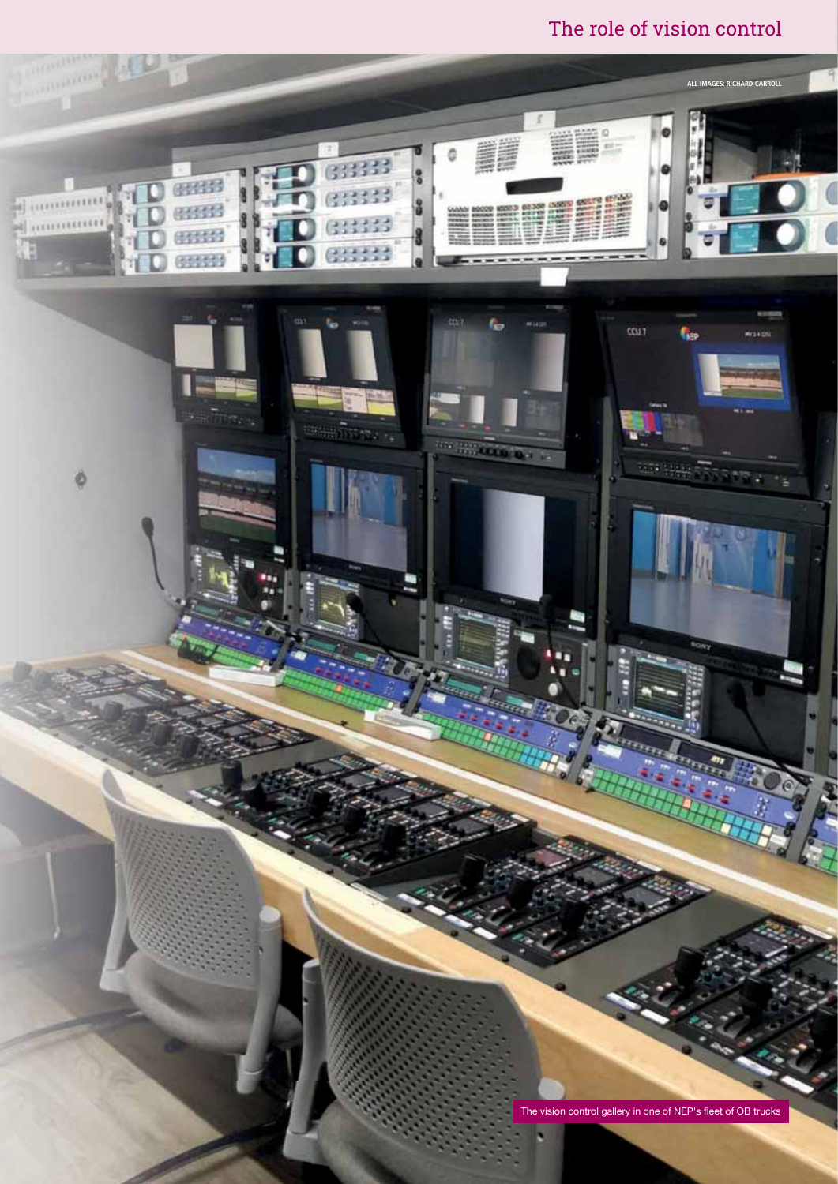The role of vision control

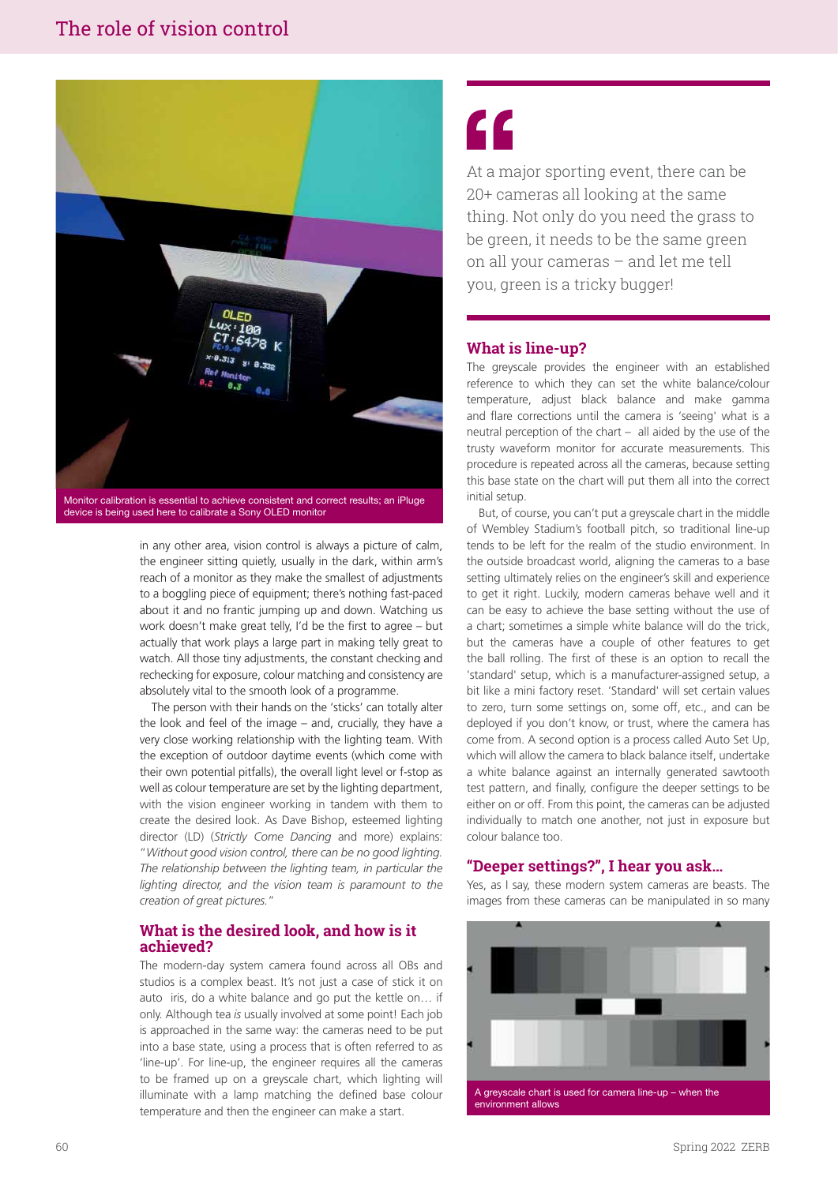

Monitor calibration is essential to achieve consistent and correct results; an iPluge device is being used here to calibrate a Sony OLED monitor

in any other area, vision control is always a picture of calm, the engineer sitting quietly, usually in the dark, within arm's reach of a monitor as they make the smallest of adjustments to a boggling piece of equipment; there's nothing fast-paced about it and no frantic jumping up and down. Watching us work doesn't make great telly, I'd be the first to agree – but actually that work plays a large part in making telly great to watch. All those tiny adjustments, the constant checking and rechecking for exposure, colour matching and consistency are absolutely vital to the smooth look of a programme.

The person with their hands on the 'sticks' can totally alter the look and feel of the image – and, crucially, they have a very close working relationship with the lighting team. With the exception of outdoor daytime events (which come with their own potential pitfalls), the overall light level or f-stop as well as colour temperature are set by the lighting department, with the vision engineer working in tandem with them to create the desired look. As Dave Bishop, esteemed lighting director (LD) (*Strictly Come Dancing* and more) explains: "*Without good vision control, there can be no good lighting. The relationship between the lighting team, in particular the lighting director, and the vision team is paramount to the creation of great pictures.*"

#### **What is the desired look, and how is it achieved?**

The modern-day system camera found across all OBs and studios is a complex beast. It's not just a case of stick it on auto iris, do a white balance and go put the kettle on… if only. Although tea *is* usually involved at some point! Each job is approached in the same way: the cameras need to be put into a base state, using a process that is often referred to as 'line-up'. For line-up, the engineer requires all the cameras to be framed up on a greyscale chart, which lighting will illuminate with a lamp matching the defined base colour temperature and then the engineer can make a start.

### "

At a major sporting event, there can be 20+ cameras all looking at the same thing. Not only do you need the grass to be green, it needs to be the same green on all your cameras – and let me tell you, green is a tricky bugger!

#### **What is line-up?**

The greyscale provides the engineer with an established reference to which they can set the white balance/colour temperature, adjust black balance and make gamma and flare corrections until the camera is 'seeing' what is a neutral perception of the chart – all aided by the use of the trusty waveform monitor for accurate measurements. This procedure is repeated across all the cameras, because setting this base state on the chart will put them all into the correct initial setup.

But, of course, you can't put a greyscale chart in the middle of Wembley Stadium's football pitch, so traditional line-up tends to be left for the realm of the studio environment. In the outside broadcast world, aligning the cameras to a base setting ultimately relies on the engineer's skill and experience to get it right. Luckily, modern cameras behave well and it can be easy to achieve the base setting without the use of a chart; sometimes a simple white balance will do the trick, but the cameras have a couple of other features to get the ball rolling. The first of these is an option to recall the 'standard' setup, which is a manufacturer-assigned setup, a bit like a mini factory reset. 'Standard' will set certain values to zero, turn some settings on, some off, etc., and can be deployed if you don't know, or trust, where the camera has come from. A second option is a process called Auto Set Up, which will allow the camera to black balance itself, undertake a white balance against an internally generated sawtooth test pattern, and finally, configure the deeper settings to be either on or off. From this point, the cameras can be adjusted individually to match one another, not just in exposure but colour balance too.

#### **"Deeper settings?", I hear you ask…**

Yes, as I say, these modern system cameras are beasts. The images from these cameras can be manipulated in so many

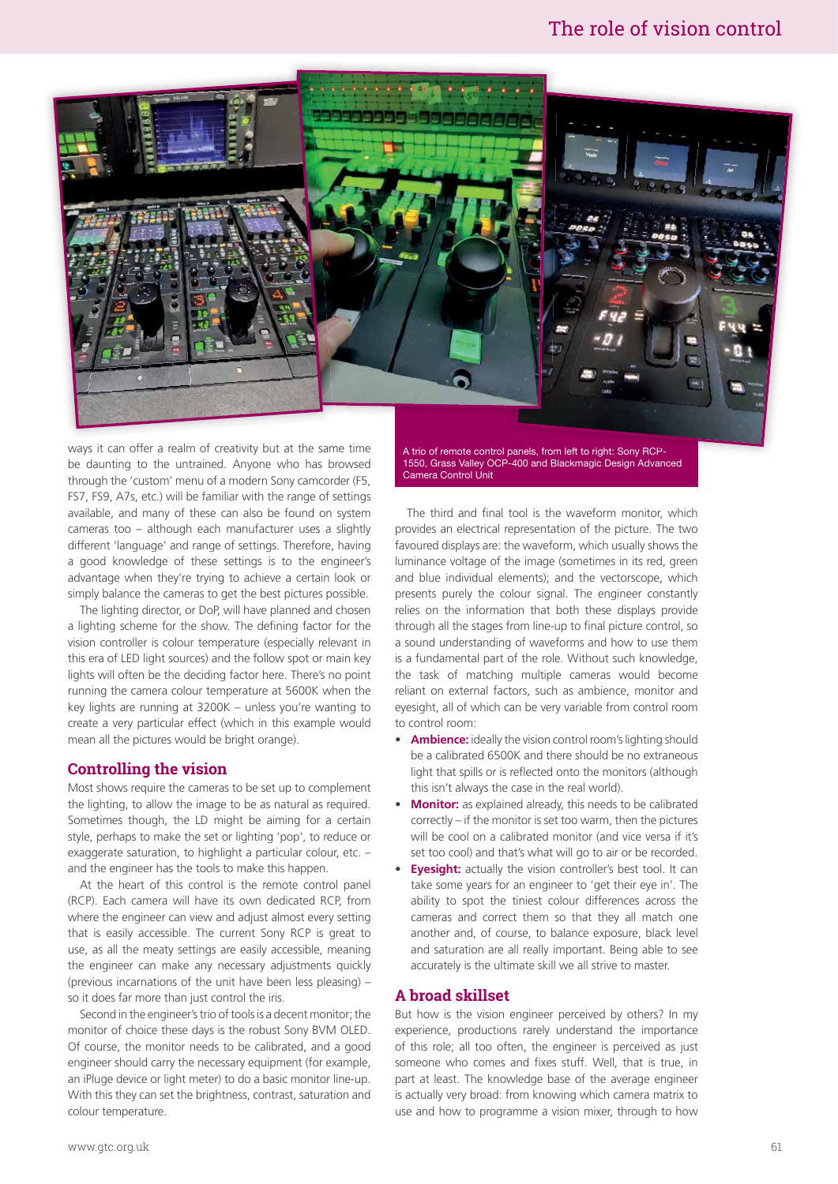#### The role of vision control



ways it can offer a realm of creativity but at the same time be daunting to the untrained. Anyone who has browsed through the 'custom' menu of a modern Sony camcorder (F5, FS7, FS9, A7s, etc.) will be familiar with the range of settings available, and many of these can also be found on system cameras too – although each manufacturer uses a slightly different 'language' and range of settings. Therefore, having a good knowledge of these settings is to the engineer's advantage when they're trying to achieve a certain look or simply balance the cameras to get the best pictures possible.

The lighting director, or DoP, will have planned and chosen a lighting scheme for the show. The defining factor for the vision controller is colour temperature (especially relevant in this era of LED light sources) and the follow spot or main key lights will often be the deciding factor here. There's no point running the camera colour temperature at 5600K when the key lights are running at 3200K – unless you're wanting to create a very particular effect (which in this example would mean all the pictures would be bright orange).

#### **Controlling the vision**

Most shows require the cameras to be set up to complement the lighting, to allow the image to be as natural as required. Sometimes though, the LD might be aiming for a certain style, perhaps to make the set or lighting 'pop', to reduce or exaggerate saturation, to highlight a particular colour, etc. – and the engineer has the tools to make this happen.

At the heart of this control is the remote control panel (RCP). Each camera will have its own dedicated RCP, from where the engineer can view and adjust almost every setting that is easily accessible. The current Sony RCP is great to use, as all the meaty settings are easily accessible, meaning the engineer can make any necessary adjustments quickly (previous incarnations of the unit have been less pleasing) – so it does far more than just control the iris.

Second in the engineer's trio of tools is a decent monitor; the monitor of choice these days is the robust Sony BVM OLED. Of course, the monitor needs to be calibrated, and a good engineer should carry the necessary equipment (for example, an iPluge device or light meter) to do a basic monitor line-up. With this they can set the brightness, contrast, saturation and colour temperature.

A trio of remote control panels, from left to right: Sony RCP-1550, Grass Valley OCP-400 and Blackmagic Design Advanced Camera Control Unit

The third and final tool is the waveform monitor, which provides an electrical representation of the picture. The two favoured displays are: the waveform, which usually shows the luminance voltage of the image (sometimes in its red, green and blue individual elements); and the vectorscope, which presents purely the colour signal. The engineer constantly relies on the information that both these displays provide through all the stages from line-up to final picture control, so a sound understanding of waveforms and how to use them is a fundamental part of the role. Without such knowledge, the task of matching multiple cameras would become reliant on external factors, such as ambience, monitor and eyesight, all of which can be very variable from control room to control room:

- **Ambience:** ideally the vision control room's lighting should be a calibrated 6500K and there should be no extraneous light that spills or is reflected onto the monitors (although this isn't always the case in the real world).
- **Monitor:** as explained already, this needs to be calibrated correctly – if the monitor is set too warm, then the pictures will be cool on a calibrated monitor (and vice versa if it's set too cool) and that's what will go to air or be recorded.
- **Eyesight:** actually the vision controller's best tool. It can take some years for an engineer to 'get their eye in'. The ability to spot the tiniest colour differences across the cameras and correct them so that they all match one another and, of course, to balance exposure, black level and saturation are all really important. Being able to see accurately is the ultimate skill we all strive to master.

#### **A broad skillset**

But how is the vision engineer perceived by others? In my experience, productions rarely understand the importance of this role; all too often, the engineer is perceived as just someone who comes and fixes stuff. Well, that is true, in part at least. The knowledge base of the average engineer is actually very broad: from knowing which camera matrix to use and how to programme a vision mixer, through to how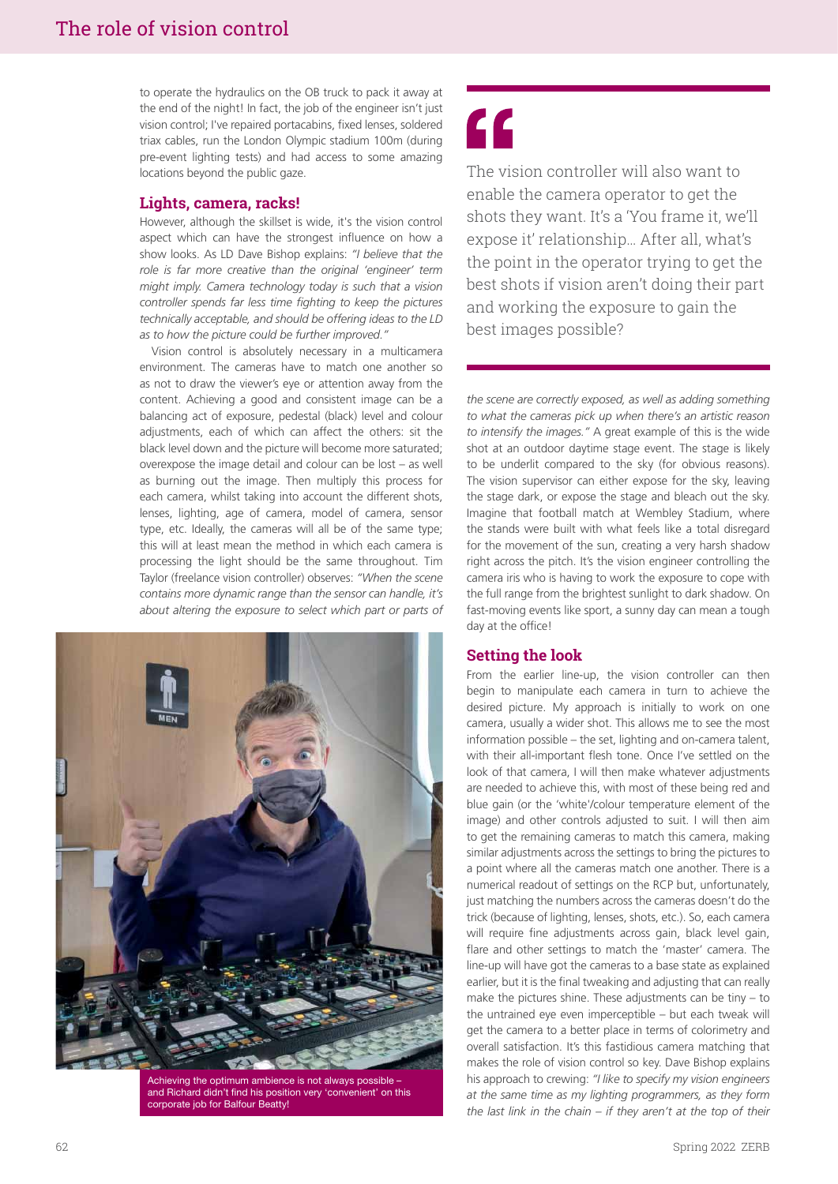to operate the hydraulics on the OB truck to pack it away at the end of the night! In fact, the job of the engineer isn't just vision control; I've repaired portacabins, fixed lenses, soldered triax cables, run the London Olympic stadium 100m (during pre-event lighting tests) and had access to some amazing locations beyond the public gaze.

#### **Lights, camera, racks!**

However, although the skillset is wide, it's the vision control aspect which can have the strongest influence on how a show looks. As LD Dave Bishop explains: *"I believe that the role is far more creative than the original 'engineer' term might imply. Camera technology today is such that a vision controller spends far less time fighting to keep the pictures technically acceptable, and should be offering ideas to the LD as to how the picture could be further improved."*

Vision control is absolutely necessary in a multicamera environment. The cameras have to match one another so as not to draw the viewer's eye or attention away from the content. Achieving a good and consistent image can be a balancing act of exposure, pedestal (black) level and colour adjustments, each of which can affect the others: sit the black level down and the picture will become more saturated; overexpose the image detail and colour can be lost – as well as burning out the image. Then multiply this process for each camera, whilst taking into account the different shots, lenses, lighting, age of camera, model of camera, sensor type, etc. Ideally, the cameras will all be of the same type; this will at least mean the method in which each camera is processing the light should be the same throughout. Tim Taylor (freelance vision controller) observes: *"When the scene contains more dynamic range than the sensor can handle, it's about altering the exposure to select which part or parts of* 



Achieving the optimum ambience is not always possible – and Richard didn't find his position very 'convenient' on this corporate job for Balfour Beatty!

### "

The vision controller will also want to enable the camera operator to get the shots they want. It's a 'You frame it, we'll expose it' relationship... After all, what's the point in the operator trying to get the best shots if vision aren't doing their part and working the exposure to gain the best images possible?

*the scene are correctly exposed, as well as adding something to what the cameras pick up when there's an artistic reason to intensify the images."* A great example of this is the wide shot at an outdoor daytime stage event. The stage is likely to be underlit compared to the sky (for obvious reasons). The vision supervisor can either expose for the sky, leaving the stage dark, or expose the stage and bleach out the sky. Imagine that football match at Wembley Stadium, where the stands were built with what feels like a total disregard for the movement of the sun, creating a very harsh shadow right across the pitch. It's the vision engineer controlling the camera iris who is having to work the exposure to cope with the full range from the brightest sunlight to dark shadow. On fast-moving events like sport, a sunny day can mean a tough day at the office!

#### **Setting the look**

From the earlier line-up, the vision controller can then begin to manipulate each camera in turn to achieve the desired picture. My approach is initially to work on one camera, usually a wider shot. This allows me to see the most information possible – the set, lighting and on-camera talent, with their all-important flesh tone. Once I've settled on the look of that camera, I will then make whatever adjustments are needed to achieve this, with most of these being red and blue gain (or the 'white'/colour temperature element of the image) and other controls adjusted to suit. I will then aim to get the remaining cameras to match this camera, making similar adjustments across the settings to bring the pictures to a point where all the cameras match one another. There is a numerical readout of settings on the RCP but, unfortunately, just matching the numbers across the cameras doesn't do the trick (because of lighting, lenses, shots, etc.). So, each camera will require fine adjustments across gain, black level gain, flare and other settings to match the 'master' camera. The line-up will have got the cameras to a base state as explained earlier, but it is the final tweaking and adjusting that can really make the pictures shine. These adjustments can be tiny – to the untrained eye even imperceptible – but each tweak will get the camera to a better place in terms of colorimetry and overall satisfaction. It's this fastidious camera matching that makes the role of vision control so key. Dave Bishop explains his approach to crewing: *"I like to specify my vision engineers at the same time as my lighting programmers, as they form the last link in the chain – if they aren't at the top of their*